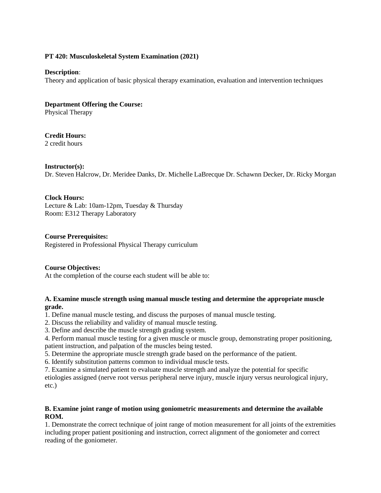### **PT 420: Musculoskeletal System Examination (2021)**

### **Description**:

Theory and application of basic physical therapy examination, evaluation and intervention techniques

**Department Offering the Course:** 

Physical Therapy

**Credit Hours:** 

2 credit hours

### **Instructor(s):**

Dr. Steven Halcrow, Dr. Meridee Danks, Dr. Michelle LaBrecque Dr. Schawnn Decker, Dr. Ricky Morgan

## **Clock Hours:**

Lecture & Lab: 10am-12pm, Tuesday & Thursday Room: E312 Therapy Laboratory

### **Course Prerequisites:**

Registered in Professional Physical Therapy curriculum

## **Course Objectives:**

At the completion of the course each student will be able to:

### **A. Examine muscle strength using manual muscle testing and determine the appropriate muscle grade.**

1. Define manual muscle testing, and discuss the purposes of manual muscle testing.

2. Discuss the reliability and validity of manual muscle testing.

3. Define and describe the muscle strength grading system.

4. Perform manual muscle testing for a given muscle or muscle group, demonstrating proper positioning, patient instruction, and palpation of the muscles being tested.

5. Determine the appropriate muscle strength grade based on the performance of the patient.

6. Identify substitution patterns common to individual muscle tests.

7. Examine a simulated patient to evaluate muscle strength and analyze the potential for specific

etiologies assigned (nerve root versus peripheral nerve injury, muscle injury versus neurological injury, etc.)

### **B. Examine joint range of motion using goniometric measurements and determine the available ROM.**

1. Demonstrate the correct technique of joint range of motion measurement for all joints of the extremities including proper patient positioning and instruction, correct alignment of the goniometer and correct reading of the goniometer.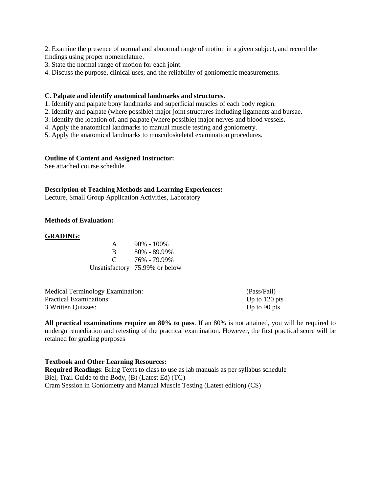2. Examine the presence of normal and abnormal range of motion in a given subject, and record the findings using proper nomenclature.

- 3. State the normal range of motion for each joint.
- 4. Discuss the purpose, clinical uses, and the reliability of goniometric measurements.

#### **C. Palpate and identify anatomical landmarks and structures.**

- 1. Identify and palpate bony landmarks and superficial muscles of each body region.
- 2. Identify and palpate (where possible) major joint structures including ligaments and bursae.
- 3. Identify the location of, and palpate (where possible) major nerves and blood vessels.
- 4. Apply the anatomical landmarks to manual muscle testing and goniometry.
- 5. Apply the anatomical landmarks to musculoskeletal examination procedures.

#### **Outline of Content and Assigned Instructor:**

See attached course schedule.

#### **Description of Teaching Methods and Learning Experiences:**

Lecture, Small Group Application Activities, Laboratory

#### **Methods of Evaluation:**

#### **GRADING:**

| A        | $90\% - 100\%$                 |
|----------|--------------------------------|
| B        | $80\% - 89.99\%$               |
| $\Gamma$ | 76% - 79.99%                   |
|          | Unsatisfactory 75.99% or below |

| <b>Medical Terminology Examination:</b> | (Pass/Fail)     |
|-----------------------------------------|-----------------|
| Practical Examinations:                 | Up to $120$ pts |
| 3 Written Quizzes:                      | Up to 90 pts    |

**All practical examinations require an 80% to pass**. If an 80% is not attained, you will be required to undergo remediation and retesting of the practical examination. However, the first practical score will be retained for grading purposes

#### **Textbook and Other Learning Resources:**

**Required Readings**: Bring Texts to class to use as lab manuals as per syllabus schedule Biel, Trail Guide to the Body, (B) (Latest Ed) (TG) Cram Session in Goniometry and Manual Muscle Testing (Latest edition) (CS)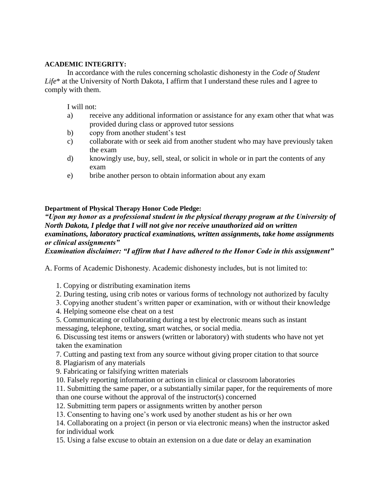### **ACADEMIC INTEGRITY:**

In accordance with the rules concerning scholastic dishonesty in the *Code of Student Life*\* at the University of North Dakota, I affirm that I understand these rules and I agree to comply with them.

I will not:

- a) receive any additional information or assistance for any exam other that what was provided during class or approved tutor sessions
- b) copy from another student's test
- c) collaborate with or seek aid from another student who may have previously taken the exam
- d) knowingly use, buy, sell, steal, or solicit in whole or in part the contents of any exam
- e) bribe another person to obtain information about any exam

### **Department of Physical Therapy Honor Code Pledge:**

*"Upon my honor as a professional student in the physical therapy program at the University of North Dakota, I pledge that I will not give nor receive unauthorized aid on written examinations, laboratory practical examinations, written assignments, take home assignments or clinical assignments"* 

*Examination disclaimer: "I affirm that I have adhered to the Honor Code in this assignment"* 

A. Forms of Academic Dishonesty. Academic dishonesty includes, but is not limited to:

1. Copying or distributing examination items

- 2. During testing, using crib notes or various forms of technology not authorized by faculty
- 3. Copying another student's written paper or examination, with or without their knowledge
- 4. Helping someone else cheat on a test
- 5. Communicating or collaborating during a test by electronic means such as instant messaging, telephone, texting, smart watches, or social media.

6. Discussing test items or answers (written or laboratory) with students who have not yet taken the examination

7. Cutting and pasting text from any source without giving proper citation to that source

8. Plagiarism of any materials

9. Fabricating or falsifying written materials

10. Falsely reporting information or actions in clinical or classroom laboratories

11. Submitting the same paper, or a substantially similar paper, for the requirements of more than one course without the approval of the instructor(s) concerned

- 12. Submitting term papers or assignments written by another person
- 13. Consenting to having one's work used by another student as his or her own

14. Collaborating on a project (in person or via electronic means) when the instructor asked for individual work

15. Using a false excuse to obtain an extension on a due date or delay an examination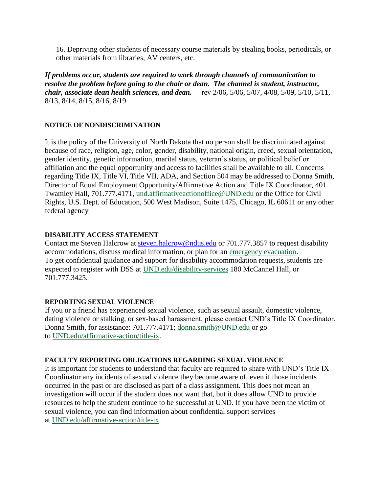16. Depriving other students of necessary course materials by stealing books, periodicals, or other materials from libraries, AV centers, etc.

*If problems occur, students are required to work through channels of communication to resolve the problem before going to the chair or dean. The channel is student, instructor, chair, associate dean health sciences, and dean.* rev 2/06, 5/06, 5/07, 4/08, 5/09, 5/10, 5/11, 8/13, 8/14, 8/15, 8/16, 8/19

## **NOTICE OF NONDISCRIMINATION**

It is the policy of the University of North Dakota that no person shall be discriminated against because of race, religion, age, color, gender, disability, national origin, creed, sexual orientation, gender identity, genetic information, marital status, veteran's status, or political belief or affiliation and the equal opportunity and access to facilities shall be available to all. Concerns regarding Title IX, Title VI, Title VII, ADA, and Section 504 may be addressed to Donna Smith, Director of Equal Employment Opportunity/Affirmative Action and Title IX Coordinator, 401 Twamley Hall, 701.777.4171, [und.affirmativeactionoffice@UND.edu](mailto:und.affirmativeactionoffice@UND.edu) or the Office for Civil Rights, U.S. Dept. of Education, 500 West Madison, Suite 1475, Chicago, IL 60611 or any other federal agency

# **DISABILITY ACCESS STATEMENT**

Contact me Steven Halcrow at [steven.halcrow@ndus.edu](mailto:steven.halcrow@ndus.edu) or 701.777.3857 to request disability accommodations, discuss medical information, or plan for an [emergency evacuation.](https://und.edu/_development/_migration-wave4/public-safety/public-safety/fire-safety.html) To get confidential guidance and support for disability accommodation requests, students are expected to register with DSS at [UND.edu/disability-services](https://und.edu/student-life/disability-services/index.html) 180 McCannel Hall, or 701.777.3425.

## **REPORTING SEXUAL VIOLENCE**

If you or a friend has experienced sexual violence, such as sexual assault, domestic violence, dating violence or stalking, or sex-based harassment, please contact UND's Title IX Coordinator, Donna Smith, for assistance: 701.777.4171; [donna.smith@UND.edu](mailto:donna.smith@UND.edu) or go to [UND.edu/affirmative-action/title-ix.](https://und.edu/_development/_migration-wave4/affirmative-action/title-ix/index.html)

## **FACULTY REPORTING OBLIGATIONS REGARDING SEXUAL VIOLENCE**

It is important for students to understand that faculty are required to share with UND's Title IX Coordinator any incidents of sexual violence they become aware of, even if those incidents occurred in the past or are disclosed as part of a class assignment. This does not mean an investigation will occur if the student does not want that, but it does allow UND to provide resources to help the student continue to be successful at UND. If you have been the victim of sexual violence, you can find information about confidential support services at [UND.edu/affirmative-action/title-ix.](https://und.edu/_development/_migration-wave4/affirmative-action/title-ix/index.html)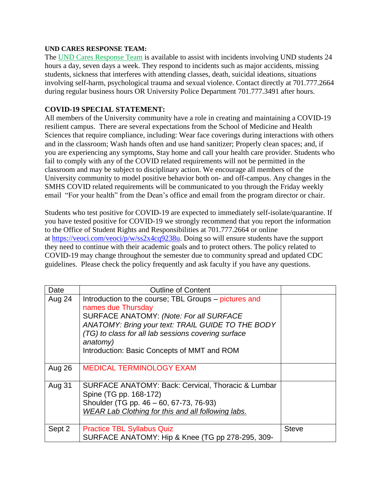## **UND CARES RESPONSE TEAM:**

The [UND Cares Response Team](http://und.edu/student-affairs/student-rights-responsibilities/care-team.cfm) is available to assist with incidents involving UND students 24 hours a day, seven days a week. They respond to incidents such as major accidents, missing students, sickness that interferes with attending classes, death, suicidal ideations, situations involving self-harm, psychological trauma and sexual violence. Contact directly at 701.777.2664 during regular business hours OR University Police Department 701.777.3491 after hours.

# **COVID-19 SPECIAL STATEMENT:**

All members of the University community have a role in creating and maintaining a COVID-19 resilient campus. There are several expectations from the School of Medicine and Health Sciences that require compliance, including: Wear face coverings during interactions with others and in the classroom; Wash hands often and use hand sanitizer; Properly clean spaces; and, if you are experiencing any symptoms, Stay home and call your health care provider. Students who fail to comply with any of the COVID related requirements will not be permitted in the classroom and may be subject to disciplinary action. We encourage all members of the University community to model positive behavior both on- and off-campus. Any changes in the SMHS COVID related requirements will be communicated to you through the Friday weekly email "For your health" from the Dean's office and email from the program director or chair.

Students who test positive for COVID-19 are expected to immediately self-isolate/quarantine. If you have tested positive for COVID-19 we strongly recommend that you report the information to the Office of Student Rights and Responsibilities at 701.777.2664 or online at [https://veoci.com/veoci/p/w/ss2x4cq9238u.](https://veoci.com/veoci/p/w/ss2x4cq9238u) Doing so will ensure students have the support they need to continue with their academic goals and to protect others. The policy related to COVID-19 may change throughout the semester due to community spread and updated CDC guidelines. Please check the policy frequently and ask faculty if you have any questions.

| Date   | <b>Outline of Content</b>                                                                                                                                                                                                                                                                     |              |
|--------|-----------------------------------------------------------------------------------------------------------------------------------------------------------------------------------------------------------------------------------------------------------------------------------------------|--------------|
| Aug 24 | Introduction to the course; TBL Groups – pictures and<br>names due Thursday<br>SURFACE ANATOMY: (Note: For all SURFACE<br>ANATOMY: Bring your text: TRAIL GUIDE TO THE BODY<br>(TG) to class for all lab sessions covering surface<br>anatomy)<br>Introduction: Basic Concepts of MMT and ROM |              |
| Aug 26 | <b>MEDICAL TERMINOLOGY EXAM</b>                                                                                                                                                                                                                                                               |              |
| Aug 31 | SURFACE ANATOMY: Back: Cervical, Thoracic & Lumbar<br>Spine (TG pp. 168-172)<br>Shoulder (TG pp. 46 - 60, 67-73, 76-93)<br>WEAR Lab Clothing for this and all following labs.                                                                                                                 |              |
| Sept 2 | <b>Practice TBL Syllabus Quiz</b><br>SURFACE ANATOMY: Hip & Knee (TG pp 278-295, 309-                                                                                                                                                                                                         | <b>Steve</b> |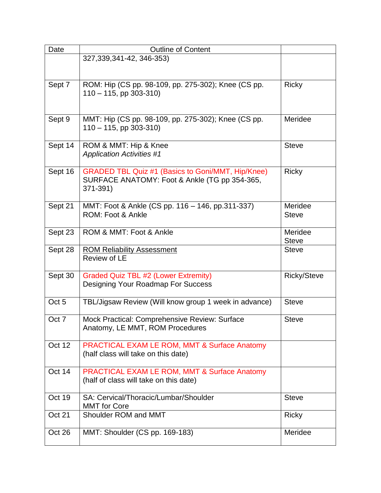| Date             | <b>Outline of Content</b>                                                                                      |                         |
|------------------|----------------------------------------------------------------------------------------------------------------|-------------------------|
|                  | 327,339,341-42, 346-353)                                                                                       |                         |
| Sept 7           | ROM: Hip (CS pp. 98-109, pp. 275-302); Knee (CS pp.<br>$110 - 115$ , pp 303-310)                               | <b>Ricky</b>            |
| Sept 9           | MMT: Hip (CS pp. 98-109, pp. 275-302); Knee (CS pp.<br>$110 - 115$ , pp 303-310)                               | Meridee                 |
| Sept 14          | ROM & MMT: Hip & Knee<br><b>Application Activities #1</b>                                                      | <b>Steve</b>            |
| Sept 16          | GRADED TBL Quiz #1 (Basics to Goni/MMT, Hip/Knee)<br>SURFACE ANATOMY: Foot & Ankle (TG pp 354-365,<br>371-391) | <b>Ricky</b>            |
| Sept 21          | MMT: Foot & Ankle (CS pp. 116 - 146, pp.311-337)<br>ROM: Foot & Ankle                                          | Meridee<br><b>Steve</b> |
| Sept 23          | ROM & MMT: Foot & Ankle                                                                                        | Meridee<br><b>Steve</b> |
| Sept 28          | <b>ROM Reliability Assessment</b><br>Review of LE                                                              | <b>Steve</b>            |
| Sept 30          | <b>Graded Quiz TBL #2 (Lower Extremity)</b><br>Designing Your Roadmap For Success                              | <b>Ricky/Steve</b>      |
| Oct <sub>5</sub> | TBL/Jigsaw Review (Will know group 1 week in advance)                                                          | <b>Steve</b>            |
| Oct 7            | Mock Practical: Comprehensive Review: Surface<br>Anatomy, LE MMT, ROM Procedures                               | <b>Steve</b>            |
| Oct 12           | <b>PRACTICAL EXAM LE ROM, MMT &amp; Surface Anatomy</b><br>(half class will take on this date)                 |                         |
| Oct 14           | PRACTICAL EXAM LE ROM, MMT & Surface Anatomy<br>(half of class will take on this date)                         |                         |
| Oct 19           | SA: Cervical/Thoracic/Lumbar/Shoulder<br><b>MMT</b> for Core                                                   | <b>Steve</b>            |
| <b>Oct 21</b>    | Shoulder ROM and MMT                                                                                           | <b>Ricky</b>            |
| Oct 26           | MMT: Shoulder (CS pp. 169-183)                                                                                 | Meridee                 |